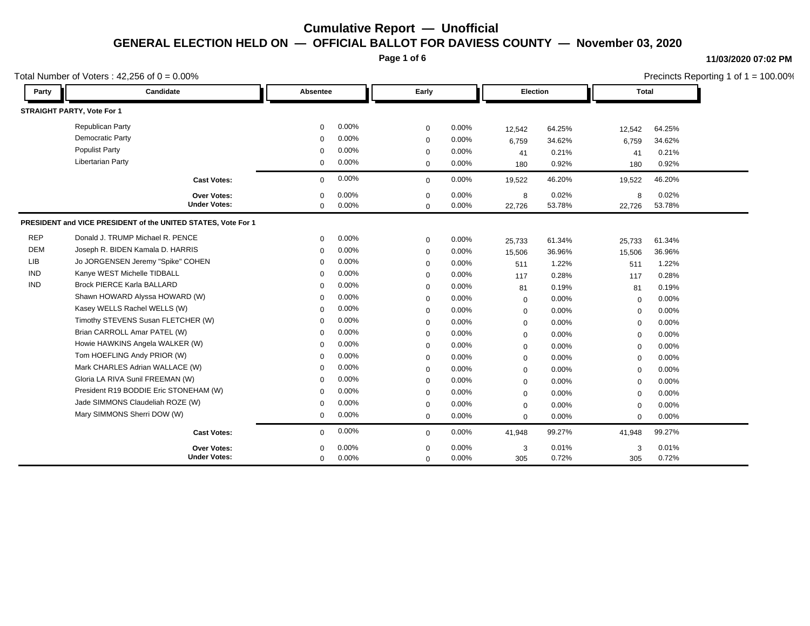**Page 1 of 6**

#### **11/03/2020 07:02 PM**

|            | Total Number of Voters: $42,256$ of $0 = 0.00\%$              |             |       |             |       |                 |        |             | Precincts Reporting 1 of $1 = 100.00\%$ |  |
|------------|---------------------------------------------------------------|-------------|-------|-------------|-------|-----------------|--------|-------------|-----------------------------------------|--|
| Party      | Candidate                                                     | Absentee    |       | Early       |       | <b>Election</b> |        | Total       |                                         |  |
|            | STRAIGHT PARTY, Vote For 1                                    |             |       |             |       |                 |        |             |                                         |  |
|            | <b>Republican Party</b>                                       | 0           | 0.00% | $\mathbf 0$ | 0.00% | 12,542          | 64.25% | 12,542      | 64.25%                                  |  |
|            | Democratic Party                                              | $\mathbf 0$ | 0.00% | $\mathbf 0$ | 0.00% | 6,759           | 34.62% | 6,759       | 34.62%                                  |  |
|            | <b>Populist Party</b>                                         | $\Omega$    | 0.00% | $\mathbf 0$ | 0.00% | 41              | 0.21%  | 41          | 0.21%                                   |  |
|            | <b>Libertarian Party</b>                                      | 0           | 0.00% | $\mathbf 0$ | 0.00% | 180             | 0.92%  | 180         | 0.92%                                   |  |
|            | <b>Cast Votes:</b>                                            | $\mathbf 0$ | 0.00% | $\mathbf 0$ | 0.00% | 19,522          | 46.20% | 19,522      | 46.20%                                  |  |
|            | Over Votes:                                                   | $\Omega$    | 0.00% | $\Omega$    | 0.00% | 8               | 0.02%  | 8           | 0.02%                                   |  |
|            | <b>Under Votes:</b>                                           | $\mathbf 0$ | 0.00% | $\mathbf 0$ | 0.00% | 22,726          | 53.78% | 22,726      | 53.78%                                  |  |
|            | PRESIDENT and VICE PRESIDENT of the UNITED STATES, Vote For 1 |             |       |             |       |                 |        |             |                                         |  |
| <b>REP</b> | Donald J. TRUMP Michael R. PENCE                              | $\mathbf 0$ | 0.00% | $\mathbf 0$ | 0.00% | 25,733          | 61.34% | 25,733      | 61.34%                                  |  |
| <b>DEM</b> | Joseph R. BIDEN Kamala D. HARRIS                              | $\Omega$    | 0.00% | $\mathbf 0$ | 0.00% | 15,506          | 36.96% | 15,506      | 36.96%                                  |  |
| <b>LIB</b> | Jo JORGENSEN Jeremy "Spike" COHEN                             | $\Omega$    | 0.00% | $\mathbf 0$ | 0.00% | 511             | 1.22%  | 511         | 1.22%                                   |  |
| <b>IND</b> | Kanye WEST Michelle TIDBALL                                   | $\Omega$    | 0.00% | $\mathbf 0$ | 0.00% | 117             | 0.28%  | 117         | 0.28%                                   |  |
| <b>IND</b> | <b>Brock PIERCE Karla BALLARD</b>                             | $\Omega$    | 0.00% | $\mathbf 0$ | 0.00% | 81              | 0.19%  | 81          | 0.19%                                   |  |
|            | Shawn HOWARD Alyssa HOWARD (W)                                | $\mathbf 0$ | 0.00% | $\mathbf 0$ | 0.00% | $\mathbf 0$     | 0.00%  | $\mathbf 0$ | 0.00%                                   |  |
|            | Kasey WELLS Rachel WELLS (W)                                  | $\Omega$    | 0.00% | $\mathbf 0$ | 0.00% | $\mathbf 0$     | 0.00%  | $\mathbf 0$ | 0.00%                                   |  |
|            | Timothy STEVENS Susan FLETCHER (W)                            | $\Omega$    | 0.00% | $\mathbf 0$ | 0.00% | $\mathbf 0$     | 0.00%  | $\mathbf 0$ | 0.00%                                   |  |
|            | Brian CARROLL Amar PATEL (W)                                  | $\Omega$    | 0.00% | $\mathbf 0$ | 0.00% | $\mathbf 0$     | 0.00%  | $\mathbf 0$ | 0.00%                                   |  |
|            | Howie HAWKINS Angela WALKER (W)                               | $\Omega$    | 0.00% | $\mathbf 0$ | 0.00% | 0               | 0.00%  | $\mathbf 0$ | 0.00%                                   |  |
|            | Tom HOEFLING Andy PRIOR (W)                                   | $\Omega$    | 0.00% | $\mathbf 0$ | 0.00% | $\mathbf 0$     | 0.00%  | $\mathbf 0$ | 0.00%                                   |  |
|            | Mark CHARLES Adrian WALLACE (W)                               | $\Omega$    | 0.00% | $\mathbf 0$ | 0.00% | 0               | 0.00%  | $\mathbf 0$ | 0.00%                                   |  |
|            | Gloria LA RIVA Sunil FREEMAN (W)                              | $\Omega$    | 0.00% | $\mathbf 0$ | 0.00% | $\mathbf 0$     | 0.00%  | $\mathbf 0$ | 0.00%                                   |  |
|            | President R19 BODDIE Eric STONEHAM (W)                        | $\mathbf 0$ | 0.00% | $\mathbf 0$ | 0.00% | 0               | 0.00%  | $\mathbf 0$ | 0.00%                                   |  |
|            | Jade SIMMONS Claudeliah ROZE (W)                              | $\mathbf 0$ | 0.00% | $\mathbf 0$ | 0.00% | $\mathbf 0$     | 0.00%  | $\mathbf 0$ | 0.00%                                   |  |
|            | Mary SIMMONS Sherri DOW (W)                                   | 0           | 0.00% | $\mathbf 0$ | 0.00% | $\mathbf 0$     | 0.00%  | $\mathbf 0$ | 0.00%                                   |  |
|            | <b>Cast Votes:</b>                                            | 0           | 0.00% | $\mathbf 0$ | 0.00% | 41,948          | 99.27% | 41,948      | 99.27%                                  |  |
|            | <b>Over Votes:</b>                                            | $\Omega$    | 0.00% | $\Omega$    | 0.00% | 3               | 0.01%  | 3           | 0.01%                                   |  |
|            | <b>Under Votes:</b>                                           | $\mathbf 0$ | 0.00% | $\mathbf 0$ | 0.00% | 305             | 0.72%  | 305         | 0.72%                                   |  |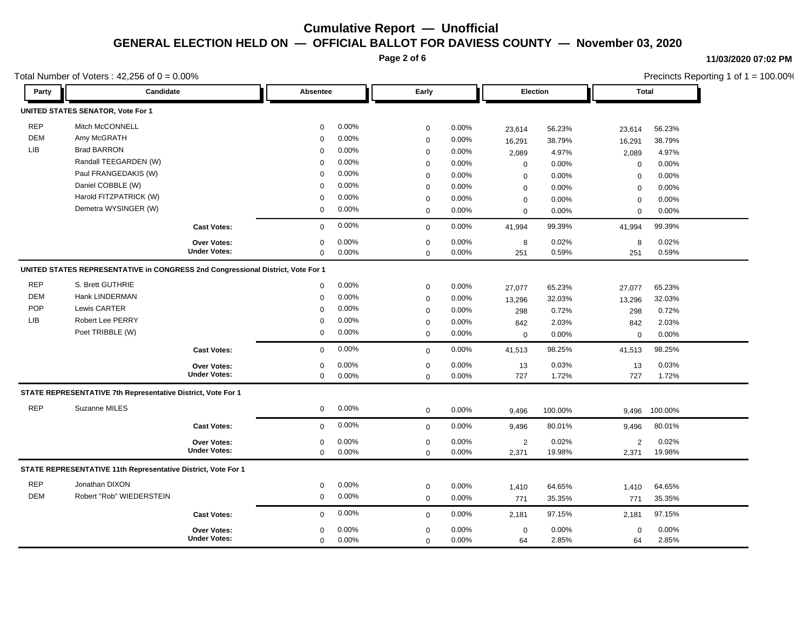**Page 2 of 6**

### **11/03/2020 07:02 PM**

Reporting 1 of  $1 = 100.00\%$ 

64 2.85% 2.85%

64 0.00%

0

|            | Total Number of Voters: $42,256$ of $0 = 0.00\%$                                |                     |              |       |             |       |             |          | Precincts Reporting 1 of $1 = 100.00\%$ |              |  |
|------------|---------------------------------------------------------------------------------|---------------------|--------------|-------|-------------|-------|-------------|----------|-----------------------------------------|--------------|--|
| Party      | Candidate                                                                       |                     | Absentee     |       | Early       |       |             | Election |                                         | <b>Total</b> |  |
|            | <b>UNITED STATES SENATOR, Vote For 1</b>                                        |                     |              |       |             |       |             |          |                                         |              |  |
| <b>REP</b> | Mitch McCONNELL                                                                 |                     | $\mathbf 0$  | 0.00% | $\mathbf 0$ | 0.00% | 23,614      | 56.23%   | 23,614                                  | 56.23%       |  |
| <b>DEM</b> | Amy McGRATH                                                                     |                     | $\mathbf 0$  | 0.00% | $\mathbf 0$ | 0.00% | 16,291      | 38.79%   | 16,291                                  | 38.79%       |  |
| <b>LIB</b> | <b>Brad BARRON</b>                                                              |                     | $\Omega$     | 0.00% | $\mathbf 0$ | 0.00% | 2,089       | 4.97%    | 2,089                                   | 4.97%        |  |
|            | Randall TEEGARDEN (W)                                                           |                     | $\Omega$     | 0.00% | $\mathbf 0$ | 0.00% | $\mathbf 0$ | 0.00%    | $\mathbf 0$                             | 0.00%        |  |
|            | Paul FRANGEDAKIS (W)                                                            |                     | $\Omega$     | 0.00% | $\mathbf 0$ | 0.00% | 0           | 0.00%    | $\Omega$                                | 0.00%        |  |
|            | Daniel COBBLE (W)                                                               |                     | $\mathbf 0$  | 0.00% | $\mathbf 0$ | 0.00% | 0           | 0.00%    | $\mathbf 0$                             | 0.00%        |  |
|            | Harold FITZPATRICK (W)                                                          |                     | $\mathbf 0$  | 0.00% | $\mathbf 0$ | 0.00% | $\mathbf 0$ | 0.00%    | $\mathbf 0$                             | 0.00%        |  |
|            | Demetra WYSINGER (W)                                                            |                     | $\mathbf 0$  | 0.00% | $\mathbf 0$ | 0.00% | $\mathbf 0$ | 0.00%    | $\mathbf 0$                             | 0.00%        |  |
|            |                                                                                 | <b>Cast Votes:</b>  | $\mathbf 0$  | 0.00% | $\mathbf 0$ | 0.00% | 41,994      | 99.39%   | 41,994                                  | 99.39%       |  |
|            |                                                                                 | <b>Over Votes:</b>  | $\mathbf 0$  | 0.00% | $\mathbf 0$ | 0.00% | 8           | 0.02%    | 8                                       | 0.02%        |  |
|            |                                                                                 | <b>Under Votes:</b> | $\mathbf 0$  | 0.00% | $\mathbf 0$ | 0.00% | 251         | 0.59%    | 251                                     | 0.59%        |  |
|            | UNITED STATES REPRESENTATIVE in CONGRESS 2nd Congressional District, Vote For 1 |                     |              |       |             |       |             |          |                                         |              |  |
| <b>REP</b> | S. Brett GUTHRIE                                                                |                     | $\mathbf 0$  | 0.00% | $\mathbf 0$ | 0.00% | 27,077      | 65.23%   | 27,077                                  | 65.23%       |  |
| <b>DEM</b> | Hank LINDERMAN                                                                  |                     | $\mathbf 0$  | 0.00% | $\pmb{0}$   | 0.00% | 13,296      | 32.03%   | 13,296                                  | 32.03%       |  |
| <b>POP</b> | Lewis CARTER                                                                    |                     | $\Omega$     | 0.00% | $\mathbf 0$ | 0.00% | 298         | 0.72%    | 298                                     | 0.72%        |  |
| LIB        | <b>Robert Lee PERRY</b>                                                         |                     | $\mathbf 0$  | 0.00% | $\mathbf 0$ | 0.00% | 842         | 2.03%    | 842                                     | 2.03%        |  |
|            | Poet TRIBBLE (W)                                                                |                     | $\mathbf 0$  | 0.00% | $\mathbf 0$ | 0.00% | $\mathbf 0$ | 0.00%    | 0                                       | 0.00%        |  |
|            |                                                                                 | <b>Cast Votes:</b>  | $\mathbf 0$  | 0.00% | $\mathbf 0$ | 0.00% | 41,513      | 98.25%   | 41,513                                  | 98.25%       |  |
|            |                                                                                 | Over Votes:         | $\mathbf 0$  | 0.00% | $\pmb{0}$   | 0.00% | 13          | 0.03%    | 13                                      | 0.03%        |  |
|            |                                                                                 | <b>Under Votes:</b> | $\mathbf 0$  | 0.00% | $\mathbf 0$ | 0.00% | 727         | 1.72%    | 727                                     | 1.72%        |  |
|            | STATE REPRESENTATIVE 7th Representative District, Vote For 1                    |                     |              |       |             |       |             |          |                                         |              |  |
| <b>REP</b> | Suzanne MILES                                                                   |                     | $\mathbf{0}$ | 0.00% | $\mathbf 0$ | 0.00% | 9,496       | 100.00%  | 9,496                                   | 100.00%      |  |
|            |                                                                                 | <b>Cast Votes:</b>  | $\mathbf 0$  | 0.00% | $\mathbf 0$ | 0.00% | 9,496       | 80.01%   | 9,496                                   | 80.01%       |  |
|            |                                                                                 | <b>Over Votes:</b>  | $\mathbf 0$  | 0.00% | $\mathbf 0$ | 0.00% | 2           | 0.02%    | 2                                       | 0.02%        |  |
|            |                                                                                 | <b>Under Votes:</b> | $\mathbf 0$  | 0.00% | $\mathbf 0$ | 0.00% | 2,371       | 19.98%   | 2,371                                   | 19.98%       |  |
|            | STATE REPRESENTATIVE 11th Representative District, Vote For 1                   |                     |              |       |             |       |             |          |                                         |              |  |
| <b>REP</b> | Jonathan DIXON                                                                  |                     | $\mathbf 0$  | 0.00% | $\mathbf 0$ | 0.00% | 1,410       | 64.65%   | 1,410                                   | 64.65%       |  |
| DEM        | Robert "Rob" WIEDERSTEIN                                                        |                     | $\mathbf 0$  | 0.00% | $\mathbf 0$ | 0.00% | 771         | 35.35%   | 771                                     | 35.35%       |  |
|            |                                                                                 | <b>Cast Votes:</b>  | $\mathbf 0$  | 0.00% | $\mathbf 0$ | 0.00% | 2,181       | 97.15%   | 2,181                                   | 97.15%       |  |
|            |                                                                                 | Over Votes:         | $\mathbf 0$  | 0.00% | $\mathbf 0$ | 0.00% | $\mathbf 0$ | 0.00%    | 0                                       | 0.00%        |  |
|            |                                                                                 | <b>Under Votes:</b> | $\Omega$     | 0.00% | $\Omega$    | 0.00% | 64          | 2.85%    | 64                                      | 2.85%        |  |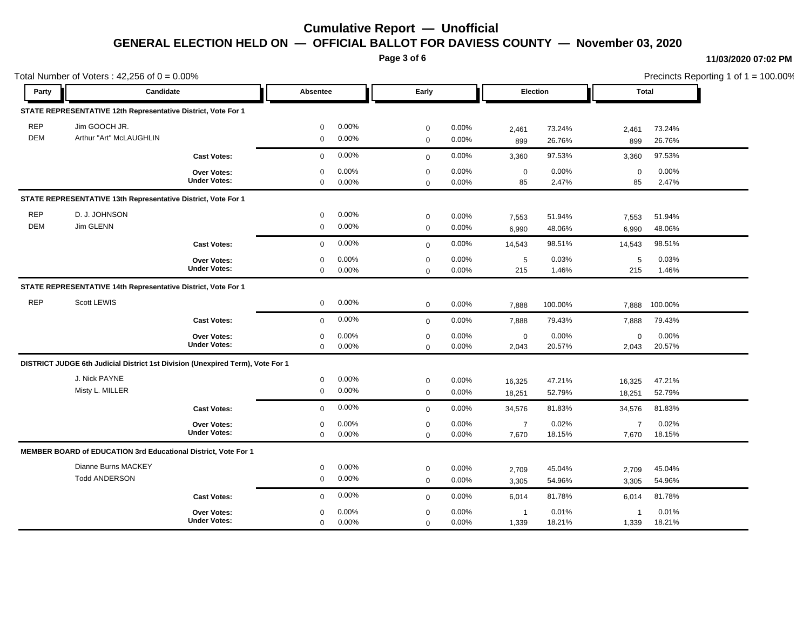**Page 3 of 6**

#### **11/03/2020 07:02 PM**

Precincts Reporting 1 of 1 = 100.00%

|            | Total Number of Voters: $42,256$ of $0 = 0.00\%$                               |                     |             |       |             |       |                 |         |                |         | Precincts Reporting 1 of 1 = 100.00% |
|------------|--------------------------------------------------------------------------------|---------------------|-------------|-------|-------------|-------|-----------------|---------|----------------|---------|--------------------------------------|
| Party      | Candidate                                                                      |                     | Absentee    |       | Early       |       | <b>Election</b> |         | Total          |         |                                      |
|            | STATE REPRESENTATIVE 12th Representative District, Vote For 1                  |                     |             |       |             |       |                 |         |                |         |                                      |
| <b>REP</b> | Jim GOOCH JR.                                                                  |                     | 0           | 0.00% | $\mathbf 0$ | 0.00% | 2,461           | 73.24%  | 2,461          | 73.24%  |                                      |
| <b>DEM</b> | Arthur "Art" McLAUGHLIN                                                        |                     | 0           | 0.00% | $\mathbf 0$ | 0.00% | 899             | 26.76%  | 899            | 26.76%  |                                      |
|            |                                                                                | <b>Cast Votes:</b>  | $\mathbf 0$ | 0.00% | $\mathbf 0$ | 0.00% | 3,360           | 97.53%  | 3,360          | 97.53%  |                                      |
|            |                                                                                | Over Votes:         | $\mathbf 0$ | 0.00% | $\mathbf 0$ | 0.00% | $\mathbf 0$     | 0.00%   | $\mathbf 0$    | 0.00%   |                                      |
|            |                                                                                | <b>Under Votes:</b> | 0           | 0.00% | $\mathbf 0$ | 0.00% | 85              | 2.47%   | 85             | 2.47%   |                                      |
|            | STATE REPRESENTATIVE 13th Representative District, Vote For 1                  |                     |             |       |             |       |                 |         |                |         |                                      |
| <b>REP</b> | D. J. JOHNSON                                                                  |                     | 0           | 0.00% | $\mathbf 0$ | 0.00% | 7,553           | 51.94%  | 7,553          | 51.94%  |                                      |
| <b>DEM</b> | Jim GLENN                                                                      |                     | $\mathbf 0$ | 0.00% | $\mathbf 0$ | 0.00% | 6,990           | 48.06%  | 6,990          | 48.06%  |                                      |
|            |                                                                                | <b>Cast Votes:</b>  | $\mathbf 0$ | 0.00% | $\mathbf 0$ | 0.00% | 14,543          | 98.51%  | 14,543         | 98.51%  |                                      |
|            |                                                                                | <b>Over Votes:</b>  | 0           | 0.00% | $\mathbf 0$ | 0.00% | 5               | 0.03%   | 5              | 0.03%   |                                      |
|            |                                                                                | <b>Under Votes:</b> | $\mathbf 0$ | 0.00% | $\mathbf 0$ | 0.00% | 215             | 1.46%   | 215            | 1.46%   |                                      |
|            | STATE REPRESENTATIVE 14th Representative District, Vote For 1                  |                     |             |       |             |       |                 |         |                |         |                                      |
| <b>REP</b> | Scott LEWIS                                                                    |                     | 0           | 0.00% | $\mathbf 0$ | 0.00% | 7,888           | 100.00% | 7,888          | 100.00% |                                      |
|            |                                                                                | <b>Cast Votes:</b>  | $\mathbf 0$ | 0.00% | $\mathbf 0$ | 0.00% | 7,888           | 79.43%  | 7,888          | 79.43%  |                                      |
|            |                                                                                | Over Votes:         | 0           | 0.00% | $\mathbf 0$ | 0.00% | $\mathbf 0$     | 0.00%   | $\mathsf 0$    | 0.00%   |                                      |
|            |                                                                                | <b>Under Votes:</b> | $\mathbf 0$ | 0.00% | $\mathbf 0$ | 0.00% | 2,043           | 20.57%  | 2,043          | 20.57%  |                                      |
|            | DISTRICT JUDGE 6th Judicial District 1st Division (Unexpired Term), Vote For 1 |                     |             |       |             |       |                 |         |                |         |                                      |
|            | J. Nick PAYNE                                                                  |                     | 0           | 0.00% | $\mathbf 0$ | 0.00% | 16,325          | 47.21%  | 16,325         | 47.21%  |                                      |
|            | Misty L. MILLER                                                                |                     | $\mathbf 0$ | 0.00% | $\mathbf 0$ | 0.00% | 18,251          | 52.79%  | 18,251         | 52.79%  |                                      |
|            |                                                                                | <b>Cast Votes:</b>  | $\mathbf 0$ | 0.00% | $\mathbf 0$ | 0.00% | 34,576          | 81.83%  | 34,576         | 81.83%  |                                      |
|            |                                                                                | Over Votes:         | $\Omega$    | 0.00% | $\mathbf 0$ | 0.00% | $\overline{7}$  | 0.02%   | $\overline{7}$ | 0.02%   |                                      |
|            |                                                                                | <b>Under Votes:</b> | $\mathbf 0$ | 0.00% | $\Omega$    | 0.00% | 7,670           | 18.15%  | 7,670          | 18.15%  |                                      |
|            | MEMBER BOARD of EDUCATION 3rd Educational District, Vote For 1                 |                     |             |       |             |       |                 |         |                |         |                                      |
|            | Dianne Burns MACKEY                                                            |                     | $\mathbf 0$ | 0.00% | $\mathbf 0$ | 0.00% | 2,709           | 45.04%  | 2,709          | 45.04%  |                                      |
|            | <b>Todd ANDERSON</b>                                                           |                     | $\mathbf 0$ | 0.00% | $\mathbf 0$ | 0.00% | 3,305           | 54.96%  | 3,305          | 54.96%  |                                      |
|            |                                                                                | <b>Cast Votes:</b>  | $\mathbf 0$ | 0.00% | $\mathbf 0$ | 0.00% | 6,014           | 81.78%  | 6,014          | 81.78%  |                                      |
|            |                                                                                | Over Votes:         | $\mathbf 0$ | 0.00% | $\mathbf 0$ | 0.00% | $\overline{1}$  | 0.01%   | $\overline{1}$ | 0.01%   |                                      |
|            |                                                                                | <b>Under Votes:</b> | $\mathbf 0$ | 0.00% | $\mathbf 0$ | 0.00% | 1,339           | 18.21%  | 1,339          | 18.21%  |                                      |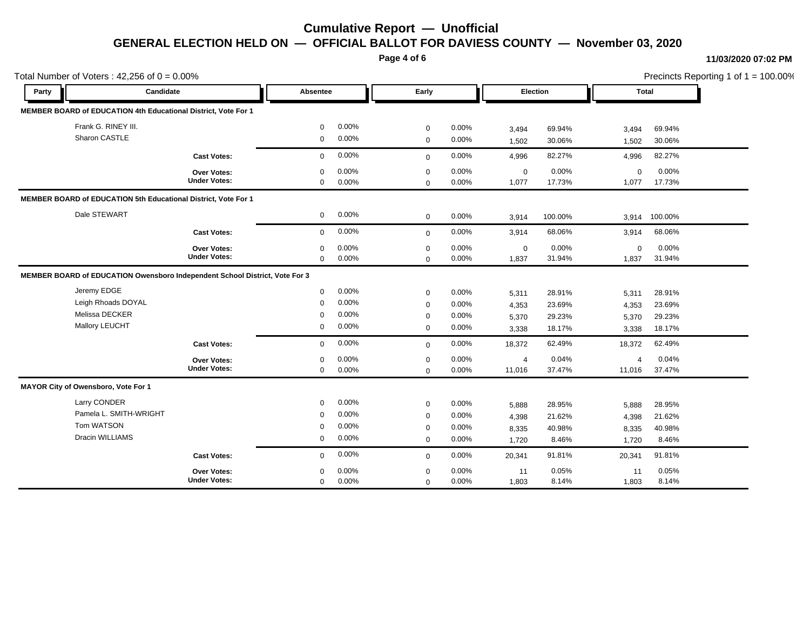**Page 4 of 6**

#### **11/03/2020 07:02 PM**

Precincts Reporting 1 of 1 = 100.00%

|       | Total Number of Voters: $42,256$ of $0 = 0.00\%$                            |                                           |                                                |                                     |                                                |                                     |                                  |                                      | Precincts Reporting 1 of 1 = 100.00% |                                      |  |
|-------|-----------------------------------------------------------------------------|-------------------------------------------|------------------------------------------------|-------------------------------------|------------------------------------------------|-------------------------------------|----------------------------------|--------------------------------------|--------------------------------------|--------------------------------------|--|
| Party | Candidate                                                                   |                                           | <b>Absentee</b>                                |                                     | Early                                          |                                     |                                  | Election                             |                                      | <b>Total</b>                         |  |
|       | MEMBER BOARD of EDUCATION 4th Educational District, Vote For 1              |                                           |                                                |                                     |                                                |                                     |                                  |                                      |                                      |                                      |  |
|       | Frank G. RINEY III.<br>Sharon CASTLE                                        |                                           | $\mathbf 0$<br>$\mathbf 0$                     | 0.00%<br>0.00%                      | 0<br>$\mathbf 0$                               | 0.00%<br>0.00%                      | 3,494<br>1,502                   | 69.94%<br>30.06%                     | 3,494<br>1,502                       | 69.94%<br>30.06%                     |  |
|       |                                                                             | <b>Cast Votes:</b>                        | $\Omega$                                       | 0.00%                               | $\mathbf 0$                                    | 0.00%                               | 4,996                            | 82.27%                               | 4,996                                | 82.27%                               |  |
|       |                                                                             | <b>Over Votes:</b><br><b>Under Votes:</b> | $\Omega$<br>$\mathbf 0$                        | 0.00%<br>0.00%                      | $\mathbf 0$<br>0                               | $0.00\%$<br>0.00%                   | $\mathbf 0$<br>1,077             | 0.00%<br>17.73%                      | $\mathbf 0$<br>1,077                 | 0.00%<br>17.73%                      |  |
|       | MEMBER BOARD of EDUCATION 5th Educational District, Vote For 1              |                                           |                                                |                                     |                                                |                                     |                                  |                                      |                                      |                                      |  |
|       | Dale STEWART                                                                |                                           | $\mathbf 0$                                    | $0.00\%$                            | $\mathbf 0$                                    | $0.00\%$                            | 3,914                            | 100.00%                              | 3,914                                | 100.00%                              |  |
|       |                                                                             | <b>Cast Votes:</b>                        | $\mathbf 0$                                    | 0.00%                               | $\mathbf 0$                                    | 0.00%                               | 3,914                            | 68.06%                               | 3,914                                | 68.06%                               |  |
|       |                                                                             | Over Votes:<br><b>Under Votes:</b>        | 0<br>$\mathbf 0$                               | 0.00%<br>$0.00\%$                   | 0<br>$\mathbf 0$                               | 0.00%<br>0.00%                      | 0<br>1,837                       | 0.00%<br>31.94%                      | $\mathbf 0$<br>1,837                 | 0.00%<br>31.94%                      |  |
|       | MEMBER BOARD of EDUCATION Owensboro Independent School District, Vote For 3 |                                           |                                                |                                     |                                                |                                     |                                  |                                      |                                      |                                      |  |
|       | Jeremy EDGE<br>Leigh Rhoads DOYAL<br>Melissa DECKER<br>Mallory LEUCHT       |                                           | $\mathbf 0$<br>$\mathbf 0$<br>$\mathbf 0$<br>0 | $0.00\%$<br>0.00%<br>0.00%<br>0.00% | 0<br>$\mathbf 0$<br>0<br>$\mathbf 0$           | 0.00%<br>0.00%<br>0.00%<br>0.00%    | 5,311<br>4,353<br>5,370<br>3,338 | 28.91%<br>23.69%<br>29.23%<br>18.17% | 5,311<br>4,353<br>5,370<br>3,338     | 28.91%<br>23.69%<br>29.23%<br>18.17% |  |
|       |                                                                             | <b>Cast Votes:</b>                        | $\mathbf{0}$                                   | 0.00%                               | $\mathbf 0$                                    | 0.00%                               | 18,372                           | 62.49%                               | 18,372                               | 62.49%                               |  |
|       |                                                                             | Over Votes:<br><b>Under Votes:</b>        | $\mathbf 0$<br>$\mathbf 0$                     | 0.00%<br>0.00%                      | $\mathbf 0$<br>0                               | 0.00%<br>0.00%                      | $\overline{4}$<br>11,016         | 0.04%<br>37.47%                      | $\overline{4}$<br>11,016             | 0.04%<br>37.47%                      |  |
|       | MAYOR City of Owensboro, Vote For 1                                         |                                           |                                                |                                     |                                                |                                     |                                  |                                      |                                      |                                      |  |
|       | Larry CONDER<br>Pamela L. SMITH-WRIGHT<br>Tom WATSON<br>Dracin WILLIAMS     |                                           | $\mathbf 0$<br>$\mathbf 0$<br>$\mathbf 0$<br>0 | 0.00%<br>0.00%<br>0.00%<br>$0.00\%$ | 0<br>$\mathbf 0$<br>$\mathbf 0$<br>$\mathbf 0$ | 0.00%<br>0.00%<br>$0.00\%$<br>0.00% | 5,888<br>4,398<br>8,335<br>1,720 | 28.95%<br>21.62%<br>40.98%<br>8.46%  | 5,888<br>4,398<br>8,335<br>1,720     | 28.95%<br>21.62%<br>40.98%<br>8.46%  |  |
|       |                                                                             | <b>Cast Votes:</b>                        | $\mathbf 0$                                    | 0.00%                               | $\mathbf 0$                                    | $0.00\%$                            | 20,341                           | 91.81%                               | 20,341                               | 91.81%                               |  |
|       |                                                                             | <b>Over Votes:</b><br><b>Under Votes:</b> | $\Omega$<br>$\mathbf 0$                        | 0.00%<br>0.00%                      | 0<br>$\mathbf 0$                               | $0.00\%$<br>0.00%                   | 11<br>1,803                      | 0.05%<br>8.14%                       | 11<br>1,803                          | 0.05%<br>8.14%                       |  |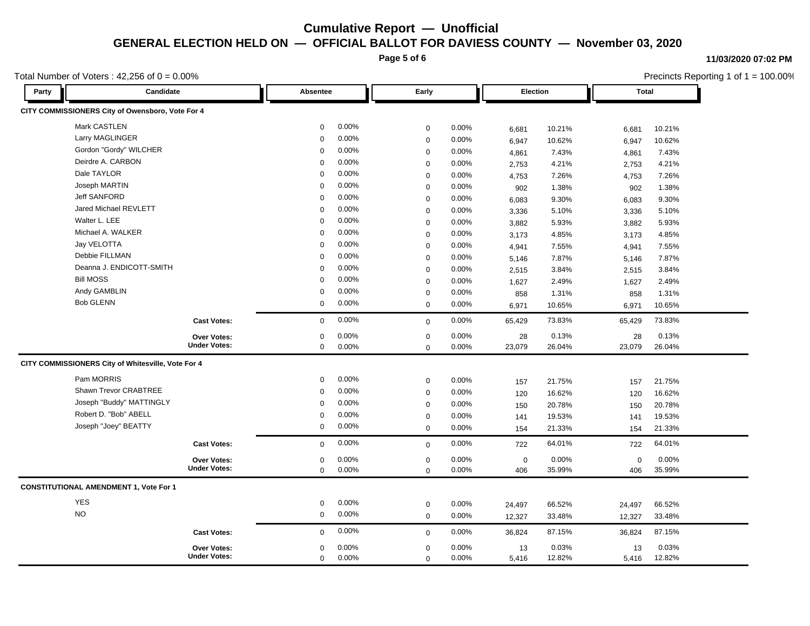**Page 5 of 6**

#### **11/03/2020 07:02 PM**

 $ting 1 of 1 = 100.00%$ 

5,416 12.82% 12.82%

5,416 0.00%

0.00%

0

|       | Total Number of Voters : 42,256 of $0 = 0.00\%$    |             |       |              |          |             |          |             | Precincts Reporting 1 of $1 = 100.00\%$ |
|-------|----------------------------------------------------|-------------|-------|--------------|----------|-------------|----------|-------------|-----------------------------------------|
| Party | Candidate                                          | Absentee    |       | Early        |          |             | Election |             | <b>Total</b>                            |
|       | CITY COMMISSIONERS City of Owensboro, Vote For 4   |             |       |              |          |             |          |             |                                         |
|       | Mark CASTLEN                                       | $\mathbf 0$ | 0.00% | $\mathbf 0$  | 0.00%    | 6,681       | 10.21%   | 6,681       | 10.21%                                  |
|       | Larry MAGLINGER                                    | $\mathbf 0$ | 0.00% | $\mathbf 0$  | 0.00%    | 6,947       | 10.62%   | 6,947       | 10.62%                                  |
|       | Gordon "Gordy" WILCHER                             | $\mathbf 0$ | 0.00% | $\mathbf 0$  | 0.00%    | 4,861       | 7.43%    | 4,861       | 7.43%                                   |
|       | Deirdre A. CARBON                                  | $\mathbf 0$ | 0.00% | $\mathbf 0$  | 0.00%    | 2,753       | 4.21%    | 2,753       | 4.21%                                   |
|       | Dale TAYLOR                                        | $\Omega$    | 0.00% | $\mathbf 0$  | 0.00%    | 4,753       | 7.26%    | 4,753       | 7.26%                                   |
|       | Joseph MARTIN                                      | $\Omega$    | 0.00% | $\mathbf 0$  | 0.00%    | 902         | 1.38%    | 902         | 1.38%                                   |
|       | <b>Jeff SANFORD</b>                                | $\Omega$    | 0.00% | $\mathbf 0$  | 0.00%    | 6,083       | 9.30%    | 6,083       | 9.30%                                   |
|       | Jared Michael REVLETT                              | $\Omega$    | 0.00% | $\mathbf 0$  | 0.00%    | 3,336       | 5.10%    | 3,336       | 5.10%                                   |
|       | Walter L. LEE                                      | $\mathbf 0$ | 0.00% | $\mathbf 0$  | 0.00%    | 3,882       | 5.93%    | 3,882       | 5.93%                                   |
|       | Michael A. WALKER                                  | $\mathbf 0$ | 0.00% | $\mathbf 0$  | 0.00%    | 3,173       | 4.85%    | 3,173       | 4.85%                                   |
|       | Jay VELOTTA                                        | $\Omega$    | 0.00% | $\mathbf 0$  | 0.00%    | 4,941       | 7.55%    | 4,941       | 7.55%                                   |
|       | Debbie FILLMAN                                     | $\Omega$    | 0.00% | $\mathbf 0$  | 0.00%    | 5,146       | 7.87%    | 5,146       | 7.87%                                   |
|       | Deanna J. ENDICOTT-SMITH                           | $\Omega$    | 0.00% | $\mathbf 0$  | 0.00%    | 2,515       | 3.84%    | 2,515       | 3.84%                                   |
|       | <b>Bill MOSS</b>                                   | $\Omega$    | 0.00% | $\mathbf 0$  | 0.00%    | 1,627       | 2.49%    | 1,627       | 2.49%                                   |
|       | Andy GAMBLIN                                       | $\mathbf 0$ | 0.00% | $\mathbf 0$  | 0.00%    | 858         | 1.31%    | 858         | 1.31%                                   |
|       | <b>Bob GLENN</b>                                   | $\mathbf 0$ | 0.00% | $\mathbf 0$  | 0.00%    | 6,971       | 10.65%   | 6,971       | 10.65%                                  |
|       | <b>Cast Votes:</b>                                 | $\mathbf 0$ | 0.00% | $\mathbf 0$  | $0.00\%$ | 65,429      | 73.83%   | 65,429      | 73.83%                                  |
|       | Over Votes:                                        | $\mathbf 0$ | 0.00% | $\mathbf 0$  | 0.00%    | 28          | 0.13%    | 28          | 0.13%                                   |
|       | <b>Under Votes:</b>                                | $\mathbf 0$ | 0.00% | $\mathbf 0$  | 0.00%    | 23,079      | 26.04%   | 23,079      | 26.04%                                  |
|       | CITY COMMISSIONERS City of Whitesville, Vote For 4 |             |       |              |          |             |          |             |                                         |
|       | Pam MORRIS                                         | $\mathbf 0$ | 0.00% | $\mathbf 0$  | 0.00%    | 157         | 21.75%   | 157         | 21.75%                                  |
|       | Shawn Trevor CRABTREE                              | $\mathbf 0$ | 0.00% | $\mathbf 0$  | 0.00%    | 120         | 16.62%   | 120         | 16.62%                                  |
|       | Joseph "Buddy" MATTINGLY                           | $\Omega$    | 0.00% | $\mathbf 0$  | 0.00%    | 150         | 20.78%   | 150         | 20.78%                                  |
|       | Robert D. "Bob" ABELL                              | $\Omega$    | 0.00% | $\mathbf 0$  | 0.00%    | 141         | 19.53%   | 141         | 19.53%                                  |
|       | Joseph "Joey" BEATTY                               | $\mathbf 0$ | 0.00% | $\mathbf 0$  | 0.00%    | 154         | 21.33%   | 154         | 21.33%                                  |
|       | <b>Cast Votes:</b>                                 | $\mathbf 0$ | 0.00% | $\mathbf 0$  | 0.00%    | 722         | 64.01%   | 722         | 64.01%                                  |
|       | Over Votes:                                        | $\mathbf 0$ | 0.00% | $\pmb{0}$    | 0.00%    | $\mathbf 0$ | 0.00%    | $\mathbf 0$ | 0.00%                                   |
|       | <b>Under Votes:</b>                                | $\mathbf 0$ | 0.00% | $\mathbf 0$  | 0.00%    | 406         | 35.99%   | 406         | 35.99%                                  |
|       | <b>CONSTITUTIONAL AMENDMENT 1, Vote For 1</b>      |             |       |              |          |             |          |             |                                         |
|       | <b>YES</b>                                         | $\mathbf 0$ | 0.00% | $\mathbf 0$  | 0.00%    | 24,497      | 66.52%   | 24,497      | 66.52%                                  |
|       | $\rm NO$                                           | $\mathbf 0$ | 0.00% | $\mathbf 0$  | 0.00%    | 12,327      | 33.48%   | 12,327      | 33.48%                                  |
|       | <b>Cast Votes:</b>                                 | $\mathbf 0$ | 0.00% | $\mathbf{0}$ | 0.00%    | 36,824      | 87.15%   | 36,824      | 87.15%                                  |
|       |                                                    |             |       |              |          |             |          |             |                                         |

0 0.00%

**Under Votes:**